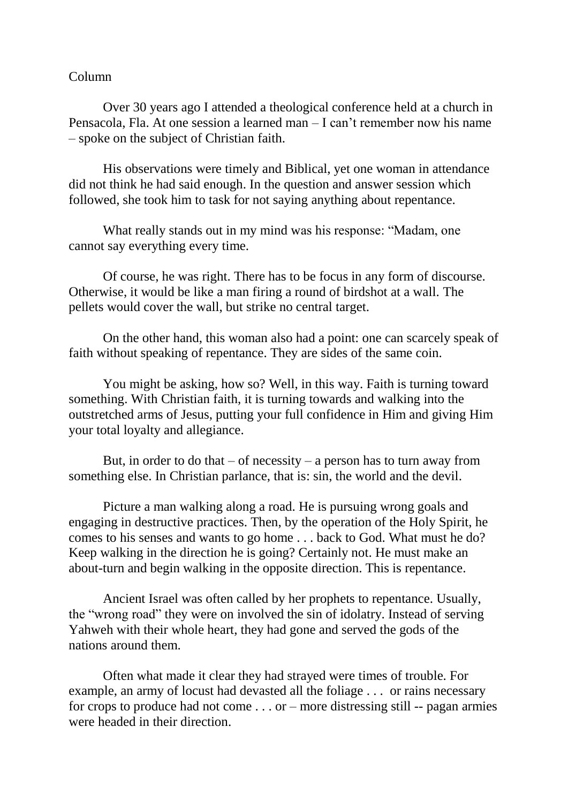## Column

Over 30 years ago I attended a theological conference held at a church in Pensacola, Fla. At one session a learned man – I can't remember now his name – spoke on the subject of Christian faith.

His observations were timely and Biblical, yet one woman in attendance did not think he had said enough. In the question and answer session which followed, she took him to task for not saying anything about repentance.

What really stands out in my mind was his response: "Madam, one cannot say everything every time.

Of course, he was right. There has to be focus in any form of discourse. Otherwise, it would be like a man firing a round of birdshot at a wall. The pellets would cover the wall, but strike no central target.

On the other hand, this woman also had a point: one can scarcely speak of faith without speaking of repentance. They are sides of the same coin.

You might be asking, how so? Well, in this way. Faith is turning toward something. With Christian faith, it is turning towards and walking into the outstretched arms of Jesus, putting your full confidence in Him and giving Him your total loyalty and allegiance.

But, in order to do that  $-$  of necessity  $-$  a person has to turn away from something else. In Christian parlance, that is: sin, the world and the devil.

Picture a man walking along a road. He is pursuing wrong goals and engaging in destructive practices. Then, by the operation of the Holy Spirit, he comes to his senses and wants to go home . . . back to God. What must he do? Keep walking in the direction he is going? Certainly not. He must make an about-turn and begin walking in the opposite direction. This is repentance.

Ancient Israel was often called by her prophets to repentance. Usually, the "wrong road" they were on involved the sin of idolatry. Instead of serving Yahweh with their whole heart, they had gone and served the gods of the nations around them.

Often what made it clear they had strayed were times of trouble. For example, an army of locust had devasted all the foliage . . . or rains necessary for crops to produce had not come . . . or – more distressing still -- pagan armies were headed in their direction.